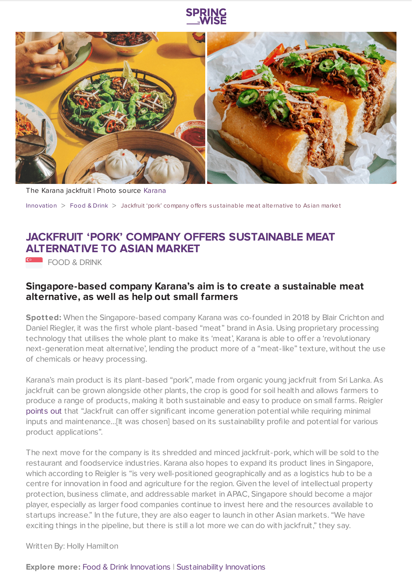



The Karana jackfruit | Photo source [Karana](https://eatkarana.com/)

[Innovation](https://www.springwise.com/search?type=innovation) > [Food](https://www.springwise.com/search?type=innovation§or=food-and-drink) & Drink > Jackfruit 'pork' company offers sus tainable meat alternative to As ian market

## **JACKFRUIT 'PORK' COMPANY OFFERS SUSTAINABLE MEAT ALTERNATIVE TO ASIAN MARKET**

**EXAMPLE TOOD & DRINK** 

## **Singapore-based company Karana's aim is to create a sustainable meat alternative, as well as help out small farmers**

**Spotted:** When the Singapore-based company Karana was co-founded in 2018 by Blair Crichton and Daniel Riegler, it was the first whole plant-based "meat" brand in Asia. Using proprietary processing technology that utilises the whole plant to make its 'meat', Karana is able to offer a 'revolutionary next-generation meat alternative', lending the product more of a "meat-like" texture, without the use of chemicals or heavy processing.

Karana's main product is its plant-based "pork", made from organic young jackfruit from Sri Lanka. As jackfruit can be grown alongside other plants, the crop is good for soil health and allows farmers to produce a range of products, making it both sustainable and easy to produce on small farms. Reigler [points](https://hk.asiatatler.com/dining/karana-founders-blair-crichton-dan-riegler-plant-based-meat-alternative-jackfruit) out that "Jackfruit can offer significant income generation potential while requiring minimal inputs and maintenance…[It was chosen] based on its sustainability profile and potential for various product applications".

The next move for the company is its shredded and minced jackfruit-pork, which will be sold to the restaurant and foodservice industries. Karana also hopes to expand its product lines in Singapore, which according to Reigler is "is very well-positioned geographically and as a logistics hub to be a centre for innovation in food and agriculture for the region. Given the level of intellectual property protection, business climate, and addressable market in APAC, Singapore should become a major player, especially as larger food companies continue to invest here and the resources available to startups increase." In the future, they are also eager to launch in other Asian markets. "We have exciting things in the pipeline, but there is still a lot more we can do with jackfruit," they say.

Written By: Holly Hamilton

**Explore more:** Food & Drink [Innovations](https://www.springwise.com/food-and-drink-innovations/) | [Sustainability](https://www.springwise.com/sustainability-innovations/) Innovations